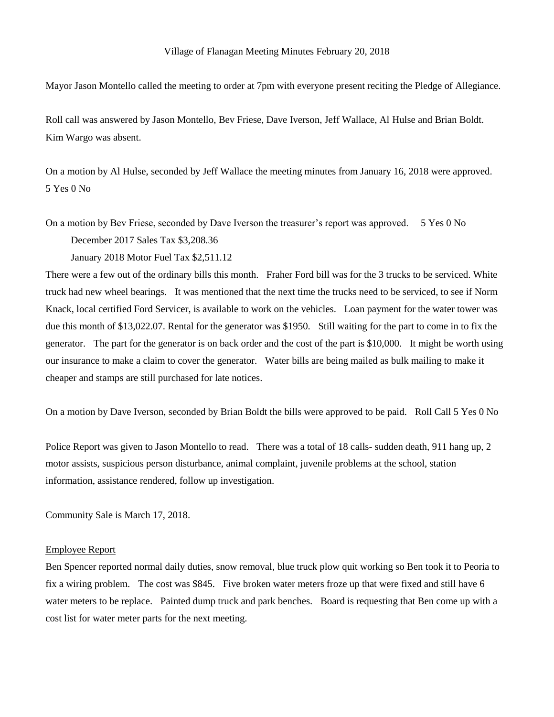Mayor Jason Montello called the meeting to order at 7pm with everyone present reciting the Pledge of Allegiance.

Roll call was answered by Jason Montello, Bev Friese, Dave Iverson, Jeff Wallace, Al Hulse and Brian Boldt. Kim Wargo was absent.

On a motion by Al Hulse, seconded by Jeff Wallace the meeting minutes from January 16, 2018 were approved. 5 Yes 0 No

On a motion by Bev Friese, seconded by Dave Iverson the treasurer's report was approved. 5 Yes 0 No

December 2017 Sales Tax \$3,208.36

January 2018 Motor Fuel Tax \$2,511.12

There were a few out of the ordinary bills this month. Fraher Ford bill was for the 3 trucks to be serviced. White truck had new wheel bearings. It was mentioned that the next time the trucks need to be serviced, to see if Norm Knack, local certified Ford Servicer, is available to work on the vehicles. Loan payment for the water tower was due this month of \$13,022.07. Rental for the generator was \$1950. Still waiting for the part to come in to fix the generator. The part for the generator is on back order and the cost of the part is \$10,000. It might be worth using our insurance to make a claim to cover the generator. Water bills are being mailed as bulk mailing to make it cheaper and stamps are still purchased for late notices.

On a motion by Dave Iverson, seconded by Brian Boldt the bills were approved to be paid. Roll Call 5 Yes 0 No

Police Report was given to Jason Montello to read. There was a total of 18 calls- sudden death, 911 hang up, 2 motor assists, suspicious person disturbance, animal complaint, juvenile problems at the school, station information, assistance rendered, follow up investigation.

Community Sale is March 17, 2018.

## Employee Report

Ben Spencer reported normal daily duties, snow removal, blue truck plow quit working so Ben took it to Peoria to fix a wiring problem. The cost was \$845. Five broken water meters froze up that were fixed and still have 6 water meters to be replace. Painted dump truck and park benches. Board is requesting that Ben come up with a cost list for water meter parts for the next meeting.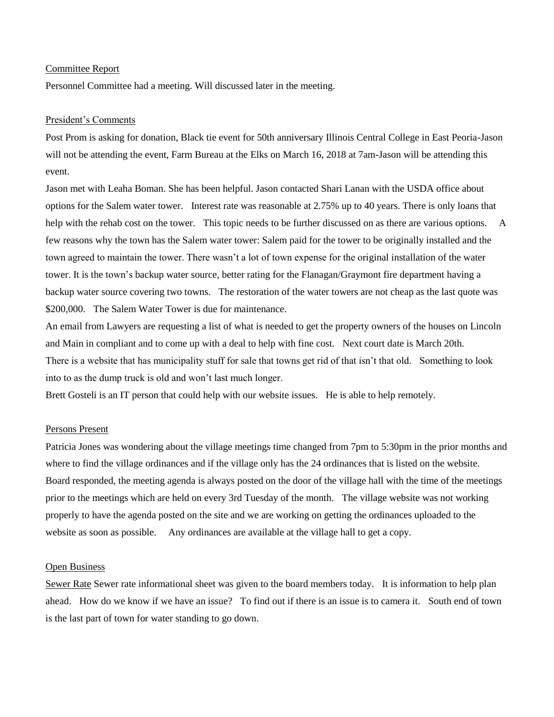## Committee Report

Personnel Committee had a meeting. Will discussed later in the meeting.

## President's Comments

Post Prom is asking for donation, Black tie event for 50th anniversary Illinois Central College in East Peoria-Jason will not be attending the event, Farm Bureau at the Elks on March 16, 2018 at 7am-Jason will be attending this event.

Jason met with Leaha Boman. She has been helpful. Jason contacted Shari Lanan with the USDA office about options for the Salem water tower. Interest rate was reasonable at 2.75% up to 40 years. There is only loans that help with the rehab cost on the tower. This topic needs to be further discussed on as there are various options. A few reasons why the town has the Salem water tower: Salem paid for the tower to be originally installed and the town agreed to maintain the tower. There wasn't a lot of town expense for the original installation of the water tower. It is the town's backup water source, better rating for the Flanagan/Graymont fire department having a backup water source covering two towns. The restoration of the water towers are not cheap as the last quote was \$200,000. The Salem Water Tower is due for maintenance.

An email from Lawyers are requesting a list of what is needed to get the property owners of the houses on Lincoln and Main in compliant and to come up with a deal to help with fine cost. Next court date is March 20th. There is a website that has municipality stuff for sale that towns get rid of that isn't that old. Something to look into to as the dump truck is old and won't last much longer.

Brett Gosteli is an IT person that could help with our website issues. He is able to help remotely.

# Persons Present

Patricia Jones was wondering about the village meetings time changed from 7pm to 5:30pm in the prior months and where to find the village ordinances and if the village only has the 24 ordinances that is listed on the website. Board responded, the meeting agenda is always posted on the door of the village hall with the time of the meetings prior to the meetings which are held on every 3rd Tuesday of the month. The village website was not working properly to have the agenda posted on the site and we are working on getting the ordinances uploaded to the website as soon as possible. Any ordinances are available at the village hall to get a copy.

#### Open Business

Sewer Rate Sewer rate informational sheet was given to the board members today. It is information to help plan ahead. How do we know if we have an issue? To find out if there is an issue is to camera it. South end of town is the last part of town for water standing to go down.